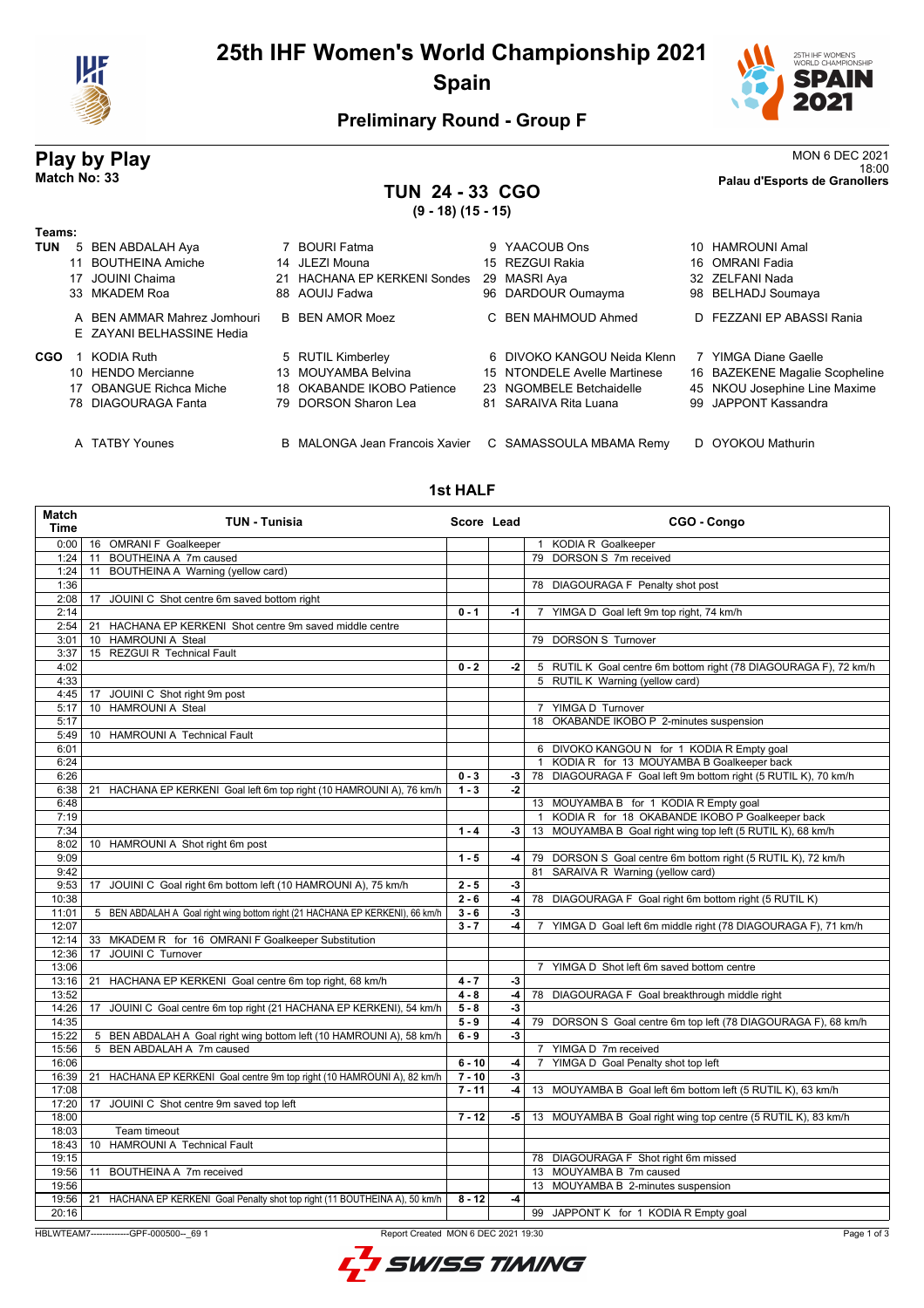

# **25th IHF Women's World Championship 2021 Spain**



## **Preliminary Round - Group F**

## **TUN 24 - 33 CGO (9 - 18) (15 - 15)**

| <b>Play by Play</b> |                | <b>MON 6 DEC 2021</b>         |
|---------------------|----------------|-------------------------------|
|                     |                | 18:00                         |
| Match No: 33        | $\blacksquare$ | Palau d'Esports de Granollers |

#### **Teams: TUN** 5 BEN ABDALAH Aya 7 BOURI Fatma 9 YAACOUB Ons 10 HAMROUNI Amal 11 BOUTHEINA Amiche 17 JOUINI Chaima 21 HACHANA EP KERKENI Sondes 29 MASRI Aya 32 ZELFANI Nada 33 MKADEM Roa 88 AOUIJ Fadwa 96 DARDOUR Oumayma 98 BELHADJ Soumaya A BEN AMMAR Mahrez Jomhouri B BEN AMOR Moez C BEN MAHMOUD Ahmed D FEZZANI EP ABASSI Rania E ZAYANI BELHASSINE Hedia **CGO** 1 KODIA Ruth **5 RUTIL Kimberley 6 DIVOKO KANGOU Neida Klenn 7 YIMGA Diane Gaelle<br>10 HENDO Mercianne 13 MOUYAMBA Belvina 15 NTONDELE Avelle Martinese 16 BAZEKENE Magalie** 10 HENDO Mercianne 13 MOUYAMBA Belvina 15 NTONDELE Avelle Martinese 16 BAZEKENE Magalie Scopheline<br>17 OBANGUE Richca Miche 18 OKABANDE IKOBO Patience 23 NGOMBELE Betchaidelle 45 NKOU Josephine Line Maxime 17 OBANGUE Richca Miche 18 OKABANDE IKOBO Patience 23 NGOMBELE Betchaidelle 45 NKOU Josephine Line Maxime<br>18 DIAGOURAGA Fanta 19 DORSON Sharon Lea 81 SARAIVA Rita Luana 99 JAPPONT Kassandra 79 DORSON Sharon Lea A TATBY Younes B MALONGA Jean Francois Xavier C SAMASSOULA MBAMA Remy D OYOKOU Mathurin

#### **1st HALF**

| 0:00<br>16 OMRANI F Goalkeeper<br>1 KODIA R Goalkeeper<br>BOUTHEINA A 7m caused<br>79 DORSON S 7m received<br>1:24<br>11<br>1:24<br>BOUTHEINA A Warning (yellow card)<br>11<br>1:36<br>78 DIAGOURAGA F Penalty shot post<br>2:08<br>17<br>JOUINI C Shot centre 6m saved bottom right<br>2:14<br>$0 - 1$<br>7 YIMGA D Goal left 9m top right, 74 km/h<br>$-1$<br>2:54<br>HACHANA EP KERKENI Shot centre 9m saved middle centre<br>21<br>79 DORSON S Turnover<br>3:01<br>10 HAMROUNI A Steal<br>15 REZGUI R Technical Fault<br>3:37<br>4:02<br>$0 - 2$<br>$-2$<br>5 RUTIL K Goal centre 6m bottom right (78 DIAGOURAGA F), 72 km/h<br>4:33<br>5 RUTIL K Warning (yellow card)<br>4:45<br>JOUINI C Shot right 9m post<br>17<br>10 HAMROUNI A Steal<br>5:17<br>YIMGA D Turnover<br>$7^{\circ}$<br>5:17<br>18 OKABANDE IKOBO P 2-minutes suspension<br>5:49<br>10 HAMROUNI A Technical Fault<br>6:01<br>6 DIVOKO KANGOU N for 1 KODIA R Empty goal<br>1 KODIA R for 13 MOUYAMBA B Goalkeeper back<br>6:24<br>6:26<br>$0 - 3$<br>78 DIAGOURAGA F Goal left 9m bottom right (5 RUTIL K), 70 km/h<br>-3  <br>6:38<br>HACHANA EP KERKENI Goal left 6m top right (10 HAMROUNI A), 76 km/h<br>$1 - 3$<br>$-2$<br>21<br>6:48<br>13 MOUYAMBA B for 1 KODIA R Empty goal<br>1 KODIA R for 18 OKABANDE IKOBO P Goalkeeper back<br>7:19<br>$1 - 4$<br>13 MOUYAMBA B Goal right wing top left (5 RUTIL K), 68 km/h<br>7:34<br>$-3$<br>8:02<br>10 HAMROUNI A Shot right 6m post<br>9:09<br>$1 - 5$<br>$-4$<br>79 DORSON S Goal centre 6m bottom right (5 RUTIL K), 72 km/h<br>9:42<br>81 SARAIVA R Warning (yellow card)<br>9:53<br>JOUINI C Goal right 6m bottom left (10 HAMROUNI A), 75 km/h<br>$2 - 5$<br>$-3$<br>17<br>10:38<br>$2 - 6$<br>$-4$<br>78 DIAGOURAGA F Goal right 6m bottom right (5 RUTIL K)<br>11:01<br>5 BEN ABDALAH A Goal right wing bottom right (21 HACHANA EP KERKENI), 66 km/h<br>$3 - 6$<br>-3<br>12:07<br>$3 - 7$<br>$-4$<br>YIMGA D Goal left 6m middle right (78 DIAGOURAGA F), 71 km/h<br>$\overline{7}$<br>12:14<br>33 MKADEM R for 16 OMRANI F Goalkeeper Substitution<br>JOUINI C Turnover<br>12:36<br>17<br>13:06<br>YIMGA D Shot left 6m saved bottom centre<br>$\overline{7}$<br>13:16<br>$4 - 7$<br>HACHANA EP KERKENI Goal centre 6m top right, 68 km/h<br>-3<br>21<br>13:52<br>$4 - 8$<br>$-4$<br>78 DIAGOURAGA F Goal breakthrough middle right<br>14:26<br>JOUINI C Goal centre 6m top right (21 HACHANA EP KERKENI), 54 km/h<br>17<br>$5 - 8$<br>-3<br>14:35<br>$5 - 9$<br>79 DORSON S Goal centre 6m top left (78 DIAGOURAGA F), 68 km/h<br>$-4$<br>15:22<br>5 BEN ABDALAH A Goal right wing bottom left (10 HAMROUNI A), 58 km/h<br>$6 - 9$<br>$-3$<br>15:56<br>5 BEN ABDALAH A 7m caused<br>7 YIMGA D 7m received<br>16:06<br>$6 - 10$<br>YIMGA D Goal Penalty shot top left<br>$-4$<br>$\overline{7}$<br>16:39<br>HACHANA EP KERKENI Goal centre 9m top right (10 HAMROUNI A), 82 km/h<br>$7 - 10$<br>$-3$<br>21<br>17:08<br>$7 - 11$<br>13 MOUYAMBA B Goal left 6m bottom left (5 RUTIL K), 63 km/h<br>-4 l<br>17:20<br>17<br>JOUINI C Shot centre 9m saved top left<br>$7 - 12$<br>18:00<br>-5  <br>13 MOUYAMBA B Goal right wing top centre (5 RUTIL K), 83 km/h<br>18:03<br>Team timeout<br>10 HAMROUNI A Technical Fault<br>18:43<br>19:15<br>78 DIAGOURAGA F Shot right 6m missed<br>19:56<br>13 MOUYAMBA B 7m caused<br>11<br>BOUTHEINA A 7m received<br>19:56<br>13 MOUYAMBA B 2-minutes suspension<br>19:56<br>HACHANA EP KERKENI Goal Penalty shot top right (11 BOUTHEINA A), 50 km/h<br>21<br>$8 - 12$<br>$-4$<br>20:16<br>99 JAPPONT K for 1 KODIA R Empty goal<br>Report Created MON 6 DEC 2021 19:30<br>HBLWTEAM7--------------GPF-000500-- 69 1 | <b>Match</b><br><b>Time</b> | <b>TUN - Tunisia</b> | Score Lead | CGO - Congo |
|----------------------------------------------------------------------------------------------------------------------------------------------------------------------------------------------------------------------------------------------------------------------------------------------------------------------------------------------------------------------------------------------------------------------------------------------------------------------------------------------------------------------------------------------------------------------------------------------------------------------------------------------------------------------------------------------------------------------------------------------------------------------------------------------------------------------------------------------------------------------------------------------------------------------------------------------------------------------------------------------------------------------------------------------------------------------------------------------------------------------------------------------------------------------------------------------------------------------------------------------------------------------------------------------------------------------------------------------------------------------------------------------------------------------------------------------------------------------------------------------------------------------------------------------------------------------------------------------------------------------------------------------------------------------------------------------------------------------------------------------------------------------------------------------------------------------------------------------------------------------------------------------------------------------------------------------------------------------------------------------------------------------------------------------------------------------------------------------------------------------------------------------------------------------------------------------------------------------------------------------------------------------------------------------------------------------------------------------------------------------------------------------------------------------------------------------------------------------------------------------------------------------------------------------------------------------------------------------------------------------------------------------------------------------------------------------------------------------------------------------------------------------------------------------------------------------------------------------------------------------------------------------------------------------------------------------------------------------------------------------------------------------------------------------------------------------------------------------------------------------------------------------------------------------------------------------------------------------------------------------------------------------------------------------------------------------------------------------------------------------------------------------------------------------------------------------------------------------------------------------------------------------------------------------------------------------------------------------------------------------------------------------------------------------------------------------|-----------------------------|----------------------|------------|-------------|
|                                                                                                                                                                                                                                                                                                                                                                                                                                                                                                                                                                                                                                                                                                                                                                                                                                                                                                                                                                                                                                                                                                                                                                                                                                                                                                                                                                                                                                                                                                                                                                                                                                                                                                                                                                                                                                                                                                                                                                                                                                                                                                                                                                                                                                                                                                                                                                                                                                                                                                                                                                                                                                                                                                                                                                                                                                                                                                                                                                                                                                                                                                                                                                                                                                                                                                                                                                                                                                                                                                                                                                                                                                                                                              |                             |                      |            |             |
|                                                                                                                                                                                                                                                                                                                                                                                                                                                                                                                                                                                                                                                                                                                                                                                                                                                                                                                                                                                                                                                                                                                                                                                                                                                                                                                                                                                                                                                                                                                                                                                                                                                                                                                                                                                                                                                                                                                                                                                                                                                                                                                                                                                                                                                                                                                                                                                                                                                                                                                                                                                                                                                                                                                                                                                                                                                                                                                                                                                                                                                                                                                                                                                                                                                                                                                                                                                                                                                                                                                                                                                                                                                                                              |                             |                      |            |             |
| Page 1 of 3                                                                                                                                                                                                                                                                                                                                                                                                                                                                                                                                                                                                                                                                                                                                                                                                                                                                                                                                                                                                                                                                                                                                                                                                                                                                                                                                                                                                                                                                                                                                                                                                                                                                                                                                                                                                                                                                                                                                                                                                                                                                                                                                                                                                                                                                                                                                                                                                                                                                                                                                                                                                                                                                                                                                                                                                                                                                                                                                                                                                                                                                                                                                                                                                                                                                                                                                                                                                                                                                                                                                                                                                                                                                                  |                             |                      |            |             |
|                                                                                                                                                                                                                                                                                                                                                                                                                                                                                                                                                                                                                                                                                                                                                                                                                                                                                                                                                                                                                                                                                                                                                                                                                                                                                                                                                                                                                                                                                                                                                                                                                                                                                                                                                                                                                                                                                                                                                                                                                                                                                                                                                                                                                                                                                                                                                                                                                                                                                                                                                                                                                                                                                                                                                                                                                                                                                                                                                                                                                                                                                                                                                                                                                                                                                                                                                                                                                                                                                                                                                                                                                                                                                              |                             |                      |            |             |
|                                                                                                                                                                                                                                                                                                                                                                                                                                                                                                                                                                                                                                                                                                                                                                                                                                                                                                                                                                                                                                                                                                                                                                                                                                                                                                                                                                                                                                                                                                                                                                                                                                                                                                                                                                                                                                                                                                                                                                                                                                                                                                                                                                                                                                                                                                                                                                                                                                                                                                                                                                                                                                                                                                                                                                                                                                                                                                                                                                                                                                                                                                                                                                                                                                                                                                                                                                                                                                                                                                                                                                                                                                                                                              |                             |                      |            |             |
|                                                                                                                                                                                                                                                                                                                                                                                                                                                                                                                                                                                                                                                                                                                                                                                                                                                                                                                                                                                                                                                                                                                                                                                                                                                                                                                                                                                                                                                                                                                                                                                                                                                                                                                                                                                                                                                                                                                                                                                                                                                                                                                                                                                                                                                                                                                                                                                                                                                                                                                                                                                                                                                                                                                                                                                                                                                                                                                                                                                                                                                                                                                                                                                                                                                                                                                                                                                                                                                                                                                                                                                                                                                                                              |                             |                      |            |             |
|                                                                                                                                                                                                                                                                                                                                                                                                                                                                                                                                                                                                                                                                                                                                                                                                                                                                                                                                                                                                                                                                                                                                                                                                                                                                                                                                                                                                                                                                                                                                                                                                                                                                                                                                                                                                                                                                                                                                                                                                                                                                                                                                                                                                                                                                                                                                                                                                                                                                                                                                                                                                                                                                                                                                                                                                                                                                                                                                                                                                                                                                                                                                                                                                                                                                                                                                                                                                                                                                                                                                                                                                                                                                                              |                             |                      |            |             |
|                                                                                                                                                                                                                                                                                                                                                                                                                                                                                                                                                                                                                                                                                                                                                                                                                                                                                                                                                                                                                                                                                                                                                                                                                                                                                                                                                                                                                                                                                                                                                                                                                                                                                                                                                                                                                                                                                                                                                                                                                                                                                                                                                                                                                                                                                                                                                                                                                                                                                                                                                                                                                                                                                                                                                                                                                                                                                                                                                                                                                                                                                                                                                                                                                                                                                                                                                                                                                                                                                                                                                                                                                                                                                              |                             |                      |            |             |
|                                                                                                                                                                                                                                                                                                                                                                                                                                                                                                                                                                                                                                                                                                                                                                                                                                                                                                                                                                                                                                                                                                                                                                                                                                                                                                                                                                                                                                                                                                                                                                                                                                                                                                                                                                                                                                                                                                                                                                                                                                                                                                                                                                                                                                                                                                                                                                                                                                                                                                                                                                                                                                                                                                                                                                                                                                                                                                                                                                                                                                                                                                                                                                                                                                                                                                                                                                                                                                                                                                                                                                                                                                                                                              |                             |                      |            |             |
|                                                                                                                                                                                                                                                                                                                                                                                                                                                                                                                                                                                                                                                                                                                                                                                                                                                                                                                                                                                                                                                                                                                                                                                                                                                                                                                                                                                                                                                                                                                                                                                                                                                                                                                                                                                                                                                                                                                                                                                                                                                                                                                                                                                                                                                                                                                                                                                                                                                                                                                                                                                                                                                                                                                                                                                                                                                                                                                                                                                                                                                                                                                                                                                                                                                                                                                                                                                                                                                                                                                                                                                                                                                                                              |                             |                      |            |             |
|                                                                                                                                                                                                                                                                                                                                                                                                                                                                                                                                                                                                                                                                                                                                                                                                                                                                                                                                                                                                                                                                                                                                                                                                                                                                                                                                                                                                                                                                                                                                                                                                                                                                                                                                                                                                                                                                                                                                                                                                                                                                                                                                                                                                                                                                                                                                                                                                                                                                                                                                                                                                                                                                                                                                                                                                                                                                                                                                                                                                                                                                                                                                                                                                                                                                                                                                                                                                                                                                                                                                                                                                                                                                                              |                             |                      |            |             |
|                                                                                                                                                                                                                                                                                                                                                                                                                                                                                                                                                                                                                                                                                                                                                                                                                                                                                                                                                                                                                                                                                                                                                                                                                                                                                                                                                                                                                                                                                                                                                                                                                                                                                                                                                                                                                                                                                                                                                                                                                                                                                                                                                                                                                                                                                                                                                                                                                                                                                                                                                                                                                                                                                                                                                                                                                                                                                                                                                                                                                                                                                                                                                                                                                                                                                                                                                                                                                                                                                                                                                                                                                                                                                              |                             |                      |            |             |
|                                                                                                                                                                                                                                                                                                                                                                                                                                                                                                                                                                                                                                                                                                                                                                                                                                                                                                                                                                                                                                                                                                                                                                                                                                                                                                                                                                                                                                                                                                                                                                                                                                                                                                                                                                                                                                                                                                                                                                                                                                                                                                                                                                                                                                                                                                                                                                                                                                                                                                                                                                                                                                                                                                                                                                                                                                                                                                                                                                                                                                                                                                                                                                                                                                                                                                                                                                                                                                                                                                                                                                                                                                                                                              |                             |                      |            |             |
|                                                                                                                                                                                                                                                                                                                                                                                                                                                                                                                                                                                                                                                                                                                                                                                                                                                                                                                                                                                                                                                                                                                                                                                                                                                                                                                                                                                                                                                                                                                                                                                                                                                                                                                                                                                                                                                                                                                                                                                                                                                                                                                                                                                                                                                                                                                                                                                                                                                                                                                                                                                                                                                                                                                                                                                                                                                                                                                                                                                                                                                                                                                                                                                                                                                                                                                                                                                                                                                                                                                                                                                                                                                                                              |                             |                      |            |             |
|                                                                                                                                                                                                                                                                                                                                                                                                                                                                                                                                                                                                                                                                                                                                                                                                                                                                                                                                                                                                                                                                                                                                                                                                                                                                                                                                                                                                                                                                                                                                                                                                                                                                                                                                                                                                                                                                                                                                                                                                                                                                                                                                                                                                                                                                                                                                                                                                                                                                                                                                                                                                                                                                                                                                                                                                                                                                                                                                                                                                                                                                                                                                                                                                                                                                                                                                                                                                                                                                                                                                                                                                                                                                                              |                             |                      |            |             |
|                                                                                                                                                                                                                                                                                                                                                                                                                                                                                                                                                                                                                                                                                                                                                                                                                                                                                                                                                                                                                                                                                                                                                                                                                                                                                                                                                                                                                                                                                                                                                                                                                                                                                                                                                                                                                                                                                                                                                                                                                                                                                                                                                                                                                                                                                                                                                                                                                                                                                                                                                                                                                                                                                                                                                                                                                                                                                                                                                                                                                                                                                                                                                                                                                                                                                                                                                                                                                                                                                                                                                                                                                                                                                              |                             |                      |            |             |
|                                                                                                                                                                                                                                                                                                                                                                                                                                                                                                                                                                                                                                                                                                                                                                                                                                                                                                                                                                                                                                                                                                                                                                                                                                                                                                                                                                                                                                                                                                                                                                                                                                                                                                                                                                                                                                                                                                                                                                                                                                                                                                                                                                                                                                                                                                                                                                                                                                                                                                                                                                                                                                                                                                                                                                                                                                                                                                                                                                                                                                                                                                                                                                                                                                                                                                                                                                                                                                                                                                                                                                                                                                                                                              |                             |                      |            |             |
|                                                                                                                                                                                                                                                                                                                                                                                                                                                                                                                                                                                                                                                                                                                                                                                                                                                                                                                                                                                                                                                                                                                                                                                                                                                                                                                                                                                                                                                                                                                                                                                                                                                                                                                                                                                                                                                                                                                                                                                                                                                                                                                                                                                                                                                                                                                                                                                                                                                                                                                                                                                                                                                                                                                                                                                                                                                                                                                                                                                                                                                                                                                                                                                                                                                                                                                                                                                                                                                                                                                                                                                                                                                                                              |                             |                      |            |             |
|                                                                                                                                                                                                                                                                                                                                                                                                                                                                                                                                                                                                                                                                                                                                                                                                                                                                                                                                                                                                                                                                                                                                                                                                                                                                                                                                                                                                                                                                                                                                                                                                                                                                                                                                                                                                                                                                                                                                                                                                                                                                                                                                                                                                                                                                                                                                                                                                                                                                                                                                                                                                                                                                                                                                                                                                                                                                                                                                                                                                                                                                                                                                                                                                                                                                                                                                                                                                                                                                                                                                                                                                                                                                                              |                             |                      |            |             |
|                                                                                                                                                                                                                                                                                                                                                                                                                                                                                                                                                                                                                                                                                                                                                                                                                                                                                                                                                                                                                                                                                                                                                                                                                                                                                                                                                                                                                                                                                                                                                                                                                                                                                                                                                                                                                                                                                                                                                                                                                                                                                                                                                                                                                                                                                                                                                                                                                                                                                                                                                                                                                                                                                                                                                                                                                                                                                                                                                                                                                                                                                                                                                                                                                                                                                                                                                                                                                                                                                                                                                                                                                                                                                              |                             |                      |            |             |
|                                                                                                                                                                                                                                                                                                                                                                                                                                                                                                                                                                                                                                                                                                                                                                                                                                                                                                                                                                                                                                                                                                                                                                                                                                                                                                                                                                                                                                                                                                                                                                                                                                                                                                                                                                                                                                                                                                                                                                                                                                                                                                                                                                                                                                                                                                                                                                                                                                                                                                                                                                                                                                                                                                                                                                                                                                                                                                                                                                                                                                                                                                                                                                                                                                                                                                                                                                                                                                                                                                                                                                                                                                                                                              |                             |                      |            |             |
|                                                                                                                                                                                                                                                                                                                                                                                                                                                                                                                                                                                                                                                                                                                                                                                                                                                                                                                                                                                                                                                                                                                                                                                                                                                                                                                                                                                                                                                                                                                                                                                                                                                                                                                                                                                                                                                                                                                                                                                                                                                                                                                                                                                                                                                                                                                                                                                                                                                                                                                                                                                                                                                                                                                                                                                                                                                                                                                                                                                                                                                                                                                                                                                                                                                                                                                                                                                                                                                                                                                                                                                                                                                                                              |                             |                      |            |             |
|                                                                                                                                                                                                                                                                                                                                                                                                                                                                                                                                                                                                                                                                                                                                                                                                                                                                                                                                                                                                                                                                                                                                                                                                                                                                                                                                                                                                                                                                                                                                                                                                                                                                                                                                                                                                                                                                                                                                                                                                                                                                                                                                                                                                                                                                                                                                                                                                                                                                                                                                                                                                                                                                                                                                                                                                                                                                                                                                                                                                                                                                                                                                                                                                                                                                                                                                                                                                                                                                                                                                                                                                                                                                                              |                             |                      |            |             |
|                                                                                                                                                                                                                                                                                                                                                                                                                                                                                                                                                                                                                                                                                                                                                                                                                                                                                                                                                                                                                                                                                                                                                                                                                                                                                                                                                                                                                                                                                                                                                                                                                                                                                                                                                                                                                                                                                                                                                                                                                                                                                                                                                                                                                                                                                                                                                                                                                                                                                                                                                                                                                                                                                                                                                                                                                                                                                                                                                                                                                                                                                                                                                                                                                                                                                                                                                                                                                                                                                                                                                                                                                                                                                              |                             |                      |            |             |
|                                                                                                                                                                                                                                                                                                                                                                                                                                                                                                                                                                                                                                                                                                                                                                                                                                                                                                                                                                                                                                                                                                                                                                                                                                                                                                                                                                                                                                                                                                                                                                                                                                                                                                                                                                                                                                                                                                                                                                                                                                                                                                                                                                                                                                                                                                                                                                                                                                                                                                                                                                                                                                                                                                                                                                                                                                                                                                                                                                                                                                                                                                                                                                                                                                                                                                                                                                                                                                                                                                                                                                                                                                                                                              |                             |                      |            |             |
|                                                                                                                                                                                                                                                                                                                                                                                                                                                                                                                                                                                                                                                                                                                                                                                                                                                                                                                                                                                                                                                                                                                                                                                                                                                                                                                                                                                                                                                                                                                                                                                                                                                                                                                                                                                                                                                                                                                                                                                                                                                                                                                                                                                                                                                                                                                                                                                                                                                                                                                                                                                                                                                                                                                                                                                                                                                                                                                                                                                                                                                                                                                                                                                                                                                                                                                                                                                                                                                                                                                                                                                                                                                                                              |                             |                      |            |             |
|                                                                                                                                                                                                                                                                                                                                                                                                                                                                                                                                                                                                                                                                                                                                                                                                                                                                                                                                                                                                                                                                                                                                                                                                                                                                                                                                                                                                                                                                                                                                                                                                                                                                                                                                                                                                                                                                                                                                                                                                                                                                                                                                                                                                                                                                                                                                                                                                                                                                                                                                                                                                                                                                                                                                                                                                                                                                                                                                                                                                                                                                                                                                                                                                                                                                                                                                                                                                                                                                                                                                                                                                                                                                                              |                             |                      |            |             |
|                                                                                                                                                                                                                                                                                                                                                                                                                                                                                                                                                                                                                                                                                                                                                                                                                                                                                                                                                                                                                                                                                                                                                                                                                                                                                                                                                                                                                                                                                                                                                                                                                                                                                                                                                                                                                                                                                                                                                                                                                                                                                                                                                                                                                                                                                                                                                                                                                                                                                                                                                                                                                                                                                                                                                                                                                                                                                                                                                                                                                                                                                                                                                                                                                                                                                                                                                                                                                                                                                                                                                                                                                                                                                              |                             |                      |            |             |
|                                                                                                                                                                                                                                                                                                                                                                                                                                                                                                                                                                                                                                                                                                                                                                                                                                                                                                                                                                                                                                                                                                                                                                                                                                                                                                                                                                                                                                                                                                                                                                                                                                                                                                                                                                                                                                                                                                                                                                                                                                                                                                                                                                                                                                                                                                                                                                                                                                                                                                                                                                                                                                                                                                                                                                                                                                                                                                                                                                                                                                                                                                                                                                                                                                                                                                                                                                                                                                                                                                                                                                                                                                                                                              |                             |                      |            |             |
|                                                                                                                                                                                                                                                                                                                                                                                                                                                                                                                                                                                                                                                                                                                                                                                                                                                                                                                                                                                                                                                                                                                                                                                                                                                                                                                                                                                                                                                                                                                                                                                                                                                                                                                                                                                                                                                                                                                                                                                                                                                                                                                                                                                                                                                                                                                                                                                                                                                                                                                                                                                                                                                                                                                                                                                                                                                                                                                                                                                                                                                                                                                                                                                                                                                                                                                                                                                                                                                                                                                                                                                                                                                                                              |                             |                      |            |             |
|                                                                                                                                                                                                                                                                                                                                                                                                                                                                                                                                                                                                                                                                                                                                                                                                                                                                                                                                                                                                                                                                                                                                                                                                                                                                                                                                                                                                                                                                                                                                                                                                                                                                                                                                                                                                                                                                                                                                                                                                                                                                                                                                                                                                                                                                                                                                                                                                                                                                                                                                                                                                                                                                                                                                                                                                                                                                                                                                                                                                                                                                                                                                                                                                                                                                                                                                                                                                                                                                                                                                                                                                                                                                                              |                             |                      |            |             |
|                                                                                                                                                                                                                                                                                                                                                                                                                                                                                                                                                                                                                                                                                                                                                                                                                                                                                                                                                                                                                                                                                                                                                                                                                                                                                                                                                                                                                                                                                                                                                                                                                                                                                                                                                                                                                                                                                                                                                                                                                                                                                                                                                                                                                                                                                                                                                                                                                                                                                                                                                                                                                                                                                                                                                                                                                                                                                                                                                                                                                                                                                                                                                                                                                                                                                                                                                                                                                                                                                                                                                                                                                                                                                              |                             |                      |            |             |
|                                                                                                                                                                                                                                                                                                                                                                                                                                                                                                                                                                                                                                                                                                                                                                                                                                                                                                                                                                                                                                                                                                                                                                                                                                                                                                                                                                                                                                                                                                                                                                                                                                                                                                                                                                                                                                                                                                                                                                                                                                                                                                                                                                                                                                                                                                                                                                                                                                                                                                                                                                                                                                                                                                                                                                                                                                                                                                                                                                                                                                                                                                                                                                                                                                                                                                                                                                                                                                                                                                                                                                                                                                                                                              |                             |                      |            |             |
|                                                                                                                                                                                                                                                                                                                                                                                                                                                                                                                                                                                                                                                                                                                                                                                                                                                                                                                                                                                                                                                                                                                                                                                                                                                                                                                                                                                                                                                                                                                                                                                                                                                                                                                                                                                                                                                                                                                                                                                                                                                                                                                                                                                                                                                                                                                                                                                                                                                                                                                                                                                                                                                                                                                                                                                                                                                                                                                                                                                                                                                                                                                                                                                                                                                                                                                                                                                                                                                                                                                                                                                                                                                                                              |                             |                      |            |             |
|                                                                                                                                                                                                                                                                                                                                                                                                                                                                                                                                                                                                                                                                                                                                                                                                                                                                                                                                                                                                                                                                                                                                                                                                                                                                                                                                                                                                                                                                                                                                                                                                                                                                                                                                                                                                                                                                                                                                                                                                                                                                                                                                                                                                                                                                                                                                                                                                                                                                                                                                                                                                                                                                                                                                                                                                                                                                                                                                                                                                                                                                                                                                                                                                                                                                                                                                                                                                                                                                                                                                                                                                                                                                                              |                             |                      |            |             |
|                                                                                                                                                                                                                                                                                                                                                                                                                                                                                                                                                                                                                                                                                                                                                                                                                                                                                                                                                                                                                                                                                                                                                                                                                                                                                                                                                                                                                                                                                                                                                                                                                                                                                                                                                                                                                                                                                                                                                                                                                                                                                                                                                                                                                                                                                                                                                                                                                                                                                                                                                                                                                                                                                                                                                                                                                                                                                                                                                                                                                                                                                                                                                                                                                                                                                                                                                                                                                                                                                                                                                                                                                                                                                              |                             |                      |            |             |
|                                                                                                                                                                                                                                                                                                                                                                                                                                                                                                                                                                                                                                                                                                                                                                                                                                                                                                                                                                                                                                                                                                                                                                                                                                                                                                                                                                                                                                                                                                                                                                                                                                                                                                                                                                                                                                                                                                                                                                                                                                                                                                                                                                                                                                                                                                                                                                                                                                                                                                                                                                                                                                                                                                                                                                                                                                                                                                                                                                                                                                                                                                                                                                                                                                                                                                                                                                                                                                                                                                                                                                                                                                                                                              |                             |                      |            |             |
|                                                                                                                                                                                                                                                                                                                                                                                                                                                                                                                                                                                                                                                                                                                                                                                                                                                                                                                                                                                                                                                                                                                                                                                                                                                                                                                                                                                                                                                                                                                                                                                                                                                                                                                                                                                                                                                                                                                                                                                                                                                                                                                                                                                                                                                                                                                                                                                                                                                                                                                                                                                                                                                                                                                                                                                                                                                                                                                                                                                                                                                                                                                                                                                                                                                                                                                                                                                                                                                                                                                                                                                                                                                                                              |                             |                      |            |             |
|                                                                                                                                                                                                                                                                                                                                                                                                                                                                                                                                                                                                                                                                                                                                                                                                                                                                                                                                                                                                                                                                                                                                                                                                                                                                                                                                                                                                                                                                                                                                                                                                                                                                                                                                                                                                                                                                                                                                                                                                                                                                                                                                                                                                                                                                                                                                                                                                                                                                                                                                                                                                                                                                                                                                                                                                                                                                                                                                                                                                                                                                                                                                                                                                                                                                                                                                                                                                                                                                                                                                                                                                                                                                                              |                             |                      |            |             |
|                                                                                                                                                                                                                                                                                                                                                                                                                                                                                                                                                                                                                                                                                                                                                                                                                                                                                                                                                                                                                                                                                                                                                                                                                                                                                                                                                                                                                                                                                                                                                                                                                                                                                                                                                                                                                                                                                                                                                                                                                                                                                                                                                                                                                                                                                                                                                                                                                                                                                                                                                                                                                                                                                                                                                                                                                                                                                                                                                                                                                                                                                                                                                                                                                                                                                                                                                                                                                                                                                                                                                                                                                                                                                              |                             |                      |            |             |
|                                                                                                                                                                                                                                                                                                                                                                                                                                                                                                                                                                                                                                                                                                                                                                                                                                                                                                                                                                                                                                                                                                                                                                                                                                                                                                                                                                                                                                                                                                                                                                                                                                                                                                                                                                                                                                                                                                                                                                                                                                                                                                                                                                                                                                                                                                                                                                                                                                                                                                                                                                                                                                                                                                                                                                                                                                                                                                                                                                                                                                                                                                                                                                                                                                                                                                                                                                                                                                                                                                                                                                                                                                                                                              |                             |                      |            |             |
|                                                                                                                                                                                                                                                                                                                                                                                                                                                                                                                                                                                                                                                                                                                                                                                                                                                                                                                                                                                                                                                                                                                                                                                                                                                                                                                                                                                                                                                                                                                                                                                                                                                                                                                                                                                                                                                                                                                                                                                                                                                                                                                                                                                                                                                                                                                                                                                                                                                                                                                                                                                                                                                                                                                                                                                                                                                                                                                                                                                                                                                                                                                                                                                                                                                                                                                                                                                                                                                                                                                                                                                                                                                                                              |                             |                      |            |             |
|                                                                                                                                                                                                                                                                                                                                                                                                                                                                                                                                                                                                                                                                                                                                                                                                                                                                                                                                                                                                                                                                                                                                                                                                                                                                                                                                                                                                                                                                                                                                                                                                                                                                                                                                                                                                                                                                                                                                                                                                                                                                                                                                                                                                                                                                                                                                                                                                                                                                                                                                                                                                                                                                                                                                                                                                                                                                                                                                                                                                                                                                                                                                                                                                                                                                                                                                                                                                                                                                                                                                                                                                                                                                                              |                             |                      |            |             |
|                                                                                                                                                                                                                                                                                                                                                                                                                                                                                                                                                                                                                                                                                                                                                                                                                                                                                                                                                                                                                                                                                                                                                                                                                                                                                                                                                                                                                                                                                                                                                                                                                                                                                                                                                                                                                                                                                                                                                                                                                                                                                                                                                                                                                                                                                                                                                                                                                                                                                                                                                                                                                                                                                                                                                                                                                                                                                                                                                                                                                                                                                                                                                                                                                                                                                                                                                                                                                                                                                                                                                                                                                                                                                              |                             |                      |            |             |
|                                                                                                                                                                                                                                                                                                                                                                                                                                                                                                                                                                                                                                                                                                                                                                                                                                                                                                                                                                                                                                                                                                                                                                                                                                                                                                                                                                                                                                                                                                                                                                                                                                                                                                                                                                                                                                                                                                                                                                                                                                                                                                                                                                                                                                                                                                                                                                                                                                                                                                                                                                                                                                                                                                                                                                                                                                                                                                                                                                                                                                                                                                                                                                                                                                                                                                                                                                                                                                                                                                                                                                                                                                                                                              |                             |                      |            |             |
|                                                                                                                                                                                                                                                                                                                                                                                                                                                                                                                                                                                                                                                                                                                                                                                                                                                                                                                                                                                                                                                                                                                                                                                                                                                                                                                                                                                                                                                                                                                                                                                                                                                                                                                                                                                                                                                                                                                                                                                                                                                                                                                                                                                                                                                                                                                                                                                                                                                                                                                                                                                                                                                                                                                                                                                                                                                                                                                                                                                                                                                                                                                                                                                                                                                                                                                                                                                                                                                                                                                                                                                                                                                                                              |                             |                      |            |             |
|                                                                                                                                                                                                                                                                                                                                                                                                                                                                                                                                                                                                                                                                                                                                                                                                                                                                                                                                                                                                                                                                                                                                                                                                                                                                                                                                                                                                                                                                                                                                                                                                                                                                                                                                                                                                                                                                                                                                                                                                                                                                                                                                                                                                                                                                                                                                                                                                                                                                                                                                                                                                                                                                                                                                                                                                                                                                                                                                                                                                                                                                                                                                                                                                                                                                                                                                                                                                                                                                                                                                                                                                                                                                                              |                             |                      |            |             |
|                                                                                                                                                                                                                                                                                                                                                                                                                                                                                                                                                                                                                                                                                                                                                                                                                                                                                                                                                                                                                                                                                                                                                                                                                                                                                                                                                                                                                                                                                                                                                                                                                                                                                                                                                                                                                                                                                                                                                                                                                                                                                                                                                                                                                                                                                                                                                                                                                                                                                                                                                                                                                                                                                                                                                                                                                                                                                                                                                                                                                                                                                                                                                                                                                                                                                                                                                                                                                                                                                                                                                                                                                                                                                              |                             |                      |            |             |
|                                                                                                                                                                                                                                                                                                                                                                                                                                                                                                                                                                                                                                                                                                                                                                                                                                                                                                                                                                                                                                                                                                                                                                                                                                                                                                                                                                                                                                                                                                                                                                                                                                                                                                                                                                                                                                                                                                                                                                                                                                                                                                                                                                                                                                                                                                                                                                                                                                                                                                                                                                                                                                                                                                                                                                                                                                                                                                                                                                                                                                                                                                                                                                                                                                                                                                                                                                                                                                                                                                                                                                                                                                                                                              |                             |                      |            |             |
|                                                                                                                                                                                                                                                                                                                                                                                                                                                                                                                                                                                                                                                                                                                                                                                                                                                                                                                                                                                                                                                                                                                                                                                                                                                                                                                                                                                                                                                                                                                                                                                                                                                                                                                                                                                                                                                                                                                                                                                                                                                                                                                                                                                                                                                                                                                                                                                                                                                                                                                                                                                                                                                                                                                                                                                                                                                                                                                                                                                                                                                                                                                                                                                                                                                                                                                                                                                                                                                                                                                                                                                                                                                                                              |                             |                      |            |             |
|                                                                                                                                                                                                                                                                                                                                                                                                                                                                                                                                                                                                                                                                                                                                                                                                                                                                                                                                                                                                                                                                                                                                                                                                                                                                                                                                                                                                                                                                                                                                                                                                                                                                                                                                                                                                                                                                                                                                                                                                                                                                                                                                                                                                                                                                                                                                                                                                                                                                                                                                                                                                                                                                                                                                                                                                                                                                                                                                                                                                                                                                                                                                                                                                                                                                                                                                                                                                                                                                                                                                                                                                                                                                                              |                             |                      |            |             |
|                                                                                                                                                                                                                                                                                                                                                                                                                                                                                                                                                                                                                                                                                                                                                                                                                                                                                                                                                                                                                                                                                                                                                                                                                                                                                                                                                                                                                                                                                                                                                                                                                                                                                                                                                                                                                                                                                                                                                                                                                                                                                                                                                                                                                                                                                                                                                                                                                                                                                                                                                                                                                                                                                                                                                                                                                                                                                                                                                                                                                                                                                                                                                                                                                                                                                                                                                                                                                                                                                                                                                                                                                                                                                              |                             |                      |            |             |

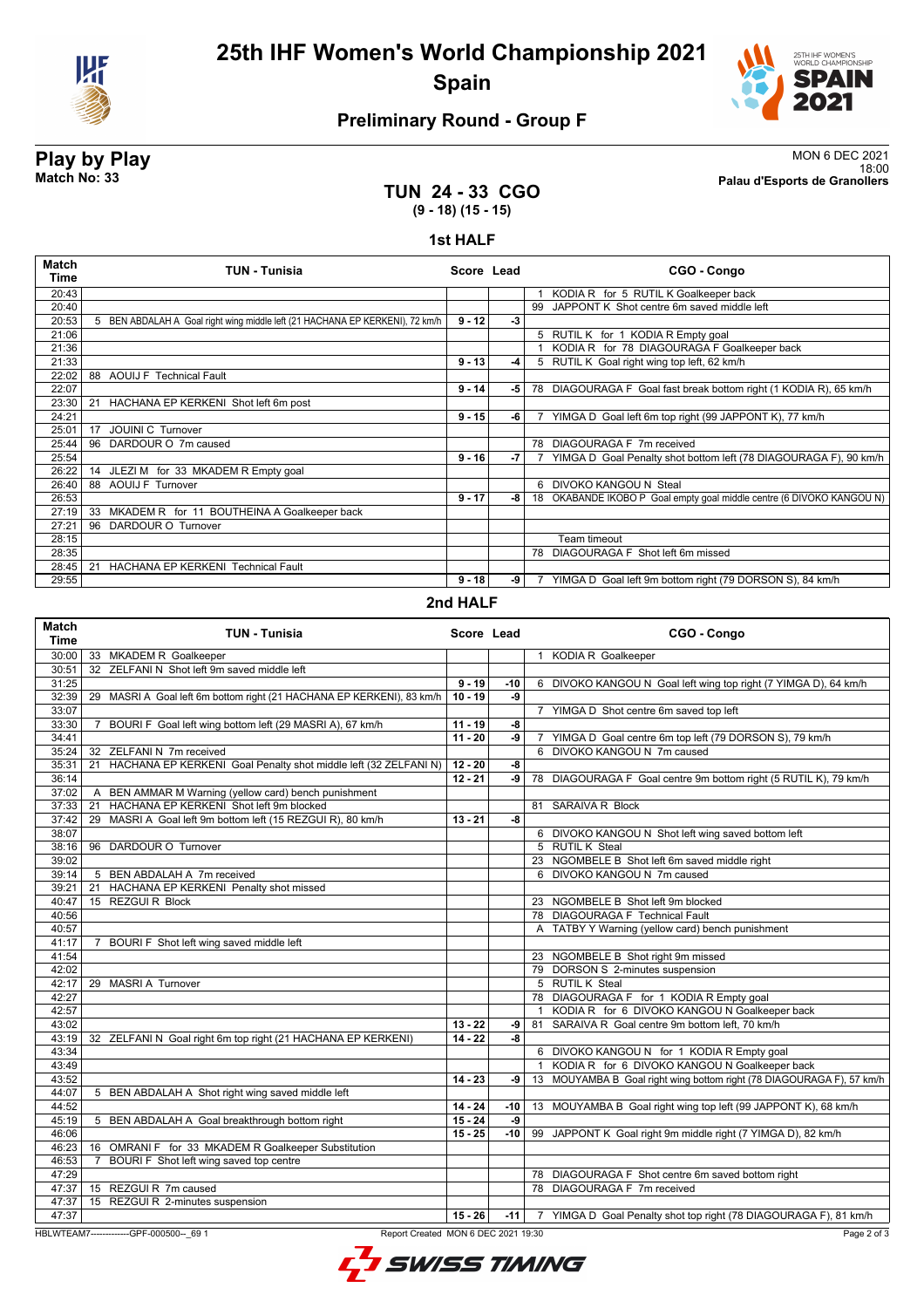

# **25th IHF Women's World Championship 2021 Spain**



18:00 **Match No: 33 Palau d'Esports de Granollers**

Page 2 of 3

# **Preliminary Round - Group F**

# **Play by Play**<br>MON 6 DEC 2021<br>Palau d'Esports de Granollers<br>Palau d'Esports de Granollers

**TUN 24 - 33 CGO (9 - 18) (15 - 15)**

**1st HALF**

| <b>Match</b><br>Time | <b>TUN - Tunisia</b>                                                         | Score Lead |      | CGO - Congo                                                           |
|----------------------|------------------------------------------------------------------------------|------------|------|-----------------------------------------------------------------------|
| 20:43                |                                                                              |            |      | KODIA R for 5 RUTIL K Goalkeeper back                                 |
| 20:40                |                                                                              |            |      | 99 JAPPONT K Shot centre 6m saved middle left                         |
| 20:53                | 5 BEN ABDALAH A Goal right wing middle left (21 HACHANA EP KERKENI), 72 km/h | $9 - 12$   | -3   |                                                                       |
| 21:06                |                                                                              |            |      | 5 RUTIL K for 1 KODIA R Empty goal                                    |
| 21:36                |                                                                              |            |      | KODIA R for 78 DIAGOURAGA F Goalkeeper back                           |
| 21:33                |                                                                              | $9 - 13$   | -4   | 5 RUTIL K Goal right wing top left, 62 km/h                           |
| 22:02                | 88 AOUIJ F Technical Fault                                                   |            |      |                                                                       |
| 22:07                |                                                                              | $9 - 14$   | -5 I | 78 DIAGOURAGA F Goal fast break bottom right (1 KODIA R), 65 km/h     |
| 23:30                | HACHANA EP KERKENI Shot left 6m post<br>21                                   |            |      |                                                                       |
| 24:21                |                                                                              | $9 - 15$   | -6   | YIMGA D Goal left 6m top right (99 JAPPONT K), 77 km/h                |
| 25:01                | <b>JOUINI C Turnover</b><br>17                                               |            |      |                                                                       |
| 25:44                | 96 DARDOUR O 7m caused                                                       |            |      | 78 DIAGOURAGA F 7m received                                           |
| 25:54                |                                                                              | $9 - 16$   | -7   | YIMGA D Goal Penalty shot bottom left (78 DIAGOURAGA F), 90 km/h      |
| 26:22                | JLEZI M for 33 MKADEM R Empty goal<br>14                                     |            |      |                                                                       |
| 26:40                | 88 AOUIJ F Turnover                                                          |            |      | 6 DIVOKO KANGOU N Steal                                               |
| 26:53                |                                                                              | $9 - 17$   | -8 l | 18 OKABANDE IKOBO P Goal empty goal middle centre (6 DIVOKO KANGOU N) |
| 27:19                | 33 MKADEM R for 11 BOUTHEINA A Goalkeeper back                               |            |      |                                                                       |
| 27:21                | 96 DARDOUR O Turnover                                                        |            |      |                                                                       |
| 28:15                |                                                                              |            |      | Team timeout                                                          |
| 28:35                |                                                                              |            |      | 78 DIAGOURAGA F Shot left 6m missed                                   |
| 28:45                | HACHANA EP KERKENI Technical Fault<br>21                                     |            |      |                                                                       |
| 29:55                |                                                                              | $9 - 18$   | -9   | 7 YIMGA D Goal left 9m bottom right (79 DORSON S), 84 km/h            |
| .                    |                                                                              |            |      |                                                                       |

#### **2nd HALF**

| Match<br><b>Time</b> | <b>TUN - Tunisia</b>                                                       | Score Lead |        | CGO - Congo                                                           |
|----------------------|----------------------------------------------------------------------------|------------|--------|-----------------------------------------------------------------------|
| 30:00                | 33 MKADEM R Goalkeeper                                                     |            |        | 1 KODIA R Goalkeeper                                                  |
| 30:51                | 32 ZELFANIN Shot left 9m saved middle left                                 |            |        |                                                                       |
| 31:25                |                                                                            | $9 - 19$   | $-10$  | 6 DIVOKO KANGOU N Goal left wing top right (7 YIMGA D), 64 km/h       |
| 32:39                | 29 MASRI A Goal left 6m bottom right (21 HACHANA EP KERKENI), 83 km/h      | $10 - 19$  | -9     |                                                                       |
| 33:07                |                                                                            |            |        | 7 YIMGA D Shot centre 6m saved top left                               |
| 33:30                | BOURI F Goal left wing bottom left (29 MASRI A), 67 km/h<br>$\overline{7}$ | $11 - 19$  | -8     |                                                                       |
| 34:41                |                                                                            | $11 - 20$  | -9     | 7 YIMGA D Goal centre 6m top left (79 DORSON S), 79 km/h              |
| 35:24                | 32 ZELFANI N 7m received                                                   |            |        | 6 DIVOKO KANGOU N 7m caused                                           |
| 35:31                | HACHANA EP KERKENI Goal Penalty shot middle left (32 ZELFANI N)<br>21      | $12 - 20$  | -8     |                                                                       |
| 36:14                |                                                                            | $12 - 21$  | ا و۔   | 78 DIAGOURAGA F Goal centre 9m bottom right (5 RUTIL K), 79 km/h      |
| 37:02                | BEN AMMAR M Warning (yellow card) bench punishment<br>$\mathsf{A}$         |            |        |                                                                       |
| 37:33                | HACHANA EP KERKENI Shot left 9m blocked<br>21                              |            |        | 81 SARAIVA R Block                                                    |
| 37:42                | 29 MASRI A Goal left 9m bottom left (15 REZGUI R), 80 km/h                 | $13 - 21$  | -8     |                                                                       |
| 38:07                |                                                                            |            |        | 6 DIVOKO KANGOU N Shot left wing saved bottom left                    |
| 38:16                | 96 DARDOUR O Turnover                                                      |            |        | 5 RUTIL K Steal                                                       |
| 39:02                |                                                                            |            |        | 23 NGOMBELE B Shot left 6m saved middle right                         |
| 39:14                | 5 BEN ABDALAH A 7m received                                                |            |        | 6 DIVOKO KANGOU N 7m caused                                           |
| 39:21                | HACHANA EP KERKENI Penalty shot missed<br>21                               |            |        |                                                                       |
| 40:47                | 15 REZGUI R Block                                                          |            |        | 23 NGOMBELE B Shot left 9m blocked                                    |
| 40:56                |                                                                            |            |        | 78 DIAGOURAGA F Technical Fault                                       |
| 40:57                |                                                                            |            |        | A TATBY Y Warning (yellow card) bench punishment                      |
| 41:17                | 7 BOURI F Shot left wing saved middle left                                 |            |        |                                                                       |
| 41:54                |                                                                            |            |        | 23 NGOMBELE B Shot right 9m missed                                    |
| 42:02                |                                                                            |            |        | 79 DORSON S 2-minutes suspension                                      |
| 42:17                | 29 MASRI A Turnover                                                        |            |        | 5 RUTIL K Steal                                                       |
| 42:27                |                                                                            |            |        | 78 DIAGOURAGA F for 1 KODIA R Empty goal                              |
| 42:57                |                                                                            |            |        | KODIA R for 6 DIVOKO KANGOU N Goalkeeper back<br>$\mathbf{1}$         |
| 43:02                |                                                                            | $13 - 22$  | -9     | 81 SARAIVA R Goal centre 9m bottom left, 70 km/h                      |
| 43:19                | 32 ZELFANI N Goal right 6m top right (21 HACHANA EP KERKENI)               | $14 - 22$  | -8     |                                                                       |
| 43:34                |                                                                            |            |        | 6 DIVOKO KANGOU N for 1 KODIA R Empty goal                            |
| 43:49                |                                                                            |            |        | 1 KODIA R for 6 DIVOKO KANGOU N Goalkeeper back                       |
| 43:52                |                                                                            | $14 - 23$  | -9     | 13 MOUYAMBA B Goal right wing bottom right (78 DIAGOURAGA F), 57 km/h |
| 44:07                | 5 BEN ABDALAH A Shot right wing saved middle left                          |            |        |                                                                       |
| 44:52                |                                                                            | $14 - 24$  | -10    | 13 MOUYAMBA B Goal right wing top left (99 JAPPONT K), 68 km/h        |
| 45:19                | 5 BEN ABDALAH A Goal breakthrough bottom right                             | $15 - 24$  | -9     |                                                                       |
| 46:06                |                                                                            | $15 - 25$  | $-10$  | 99 JAPPONT K Goal right 9m middle right (7 YIMGA D), 82 km/h          |
| 46:23                | 16 OMRANI F for 33 MKADEM R Goalkeeper Substitution                        |            |        |                                                                       |
| 46:53                | BOURI F Shot left wing saved top centre<br>7                               |            |        |                                                                       |
| 47:29                |                                                                            |            |        | 78 DIAGOURAGA F Shot centre 6m saved bottom right                     |
| 47:37                | 15 REZGUI R 7m caused                                                      |            |        | 78 DIAGOURAGA F 7m received                                           |
| 47:37                | 15 REZGUI R 2-minutes suspension                                           |            |        |                                                                       |
| 47:37                |                                                                            | $15 - 26$  | $-111$ | 7 YIMGA D Goal Penalty shot top right (78 DIAGOURAGA F), 81 km/h      |

HBLWTEAM7-------------GPF-000500--\_69 1 Report Created MON 6 DEC 2021 19:30

L SWISS TIMING